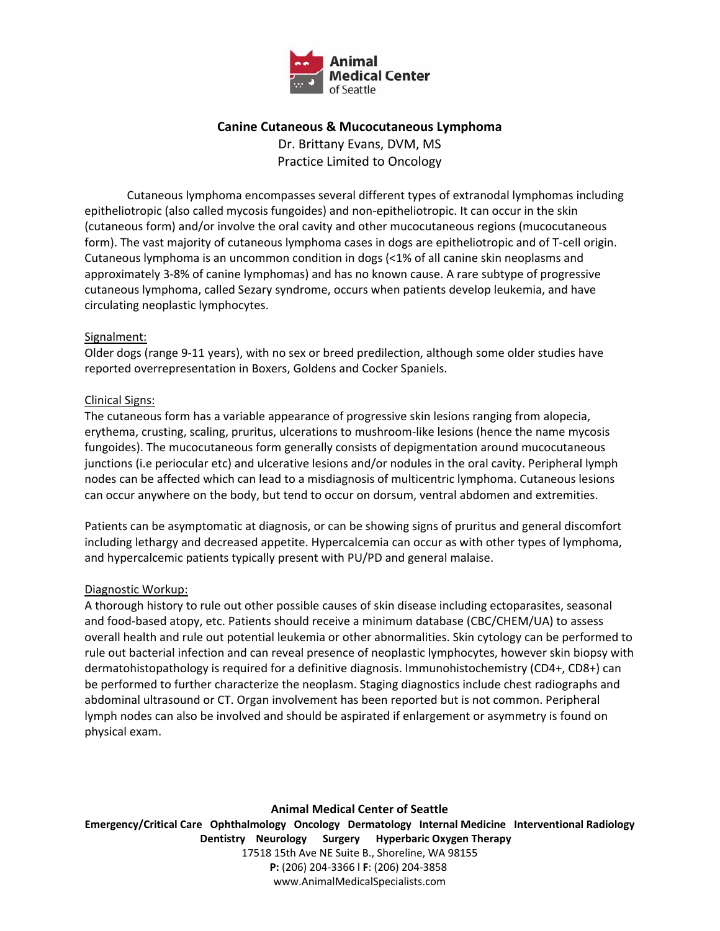

# **Canine Cutaneous & Mucocutaneous Lymphoma**

Dr. Brittany Evans, DVM, MS Practice Limited to Oncology

Cutaneous lymphoma encompasses several different types of extranodal lymphomas including epitheliotropic (also called mycosis fungoides) and non-epitheliotropic. It can occur in the skin (cutaneous form) and/or involve the oral cavity and other mucocutaneous regions (mucocutaneous form). The vast majority of cutaneous lymphoma cases in dogs are epitheliotropic and of T‐cell origin. Cutaneous lymphoma is an uncommon condition in dogs (<1% of all canine skin neoplasms and approximately 3‐8% of canine lymphomas) and has no known cause. A rare subtype of progressive cutaneous lymphoma, called Sezary syndrome, occurs when patients develop leukemia, and have circulating neoplastic lymphocytes.

### Signalment:

Older dogs (range 9‐11 years), with no sex or breed predilection, although some older studies have reported overrepresentation in Boxers, Goldens and Cocker Spaniels.

## Clinical Signs:

The cutaneous form has a variable appearance of progressive skin lesions ranging from alopecia, erythema, crusting, scaling, pruritus, ulcerations to mushroom‐like lesions (hence the name mycosis fungoides). The mucocutaneous form generally consists of depigmentation around mucocutaneous junctions (i.e periocular etc) and ulcerative lesions and/or nodules in the oral cavity. Peripheral lymph nodes can be affected which can lead to a misdiagnosis of multicentric lymphoma. Cutaneous lesions can occur anywhere on the body, but tend to occur on dorsum, ventral abdomen and extremities.

Patients can be asymptomatic at diagnosis, or can be showing signs of pruritus and general discomfort including lethargy and decreased appetite. Hypercalcemia can occur as with other types of lymphoma, and hypercalcemic patients typically present with PU/PD and general malaise.

#### Diagnostic Workup:

A thorough history to rule out other possible causes of skin disease including ectoparasites, seasonal and food-based atopy, etc. Patients should receive a minimum database (CBC/CHEM/UA) to assess overall health and rule out potential leukemia or other abnormalities. Skin cytology can be performed to rule out bacterial infection and can reveal presence of neoplastic lymphocytes, however skin biopsy with dermatohistopathology is required for a definitive diagnosis. Immunohistochemistry (CD4+, CD8+) can be performed to further characterize the neoplasm. Staging diagnostics include chest radiographs and abdominal ultrasound or CT. Organ involvement has been reported but is not common. Peripheral lymph nodes can also be involved and should be aspirated if enlargement or asymmetry is found on physical exam.

**Animal Medical Center of Seattle** 

**Emergency/Critical Care Ophthalmology Oncology Dermatology Internal Medicine Interventional Radiology Dentistry Neurology Surgery Hyperbaric Oxygen Therapy** 17518 15th Ave NE Suite B., Shoreline, WA 98155 **P:** (206) 204‐3366 l **F**: (206) 204‐3858 www.AnimalMedicalSpecialists.com